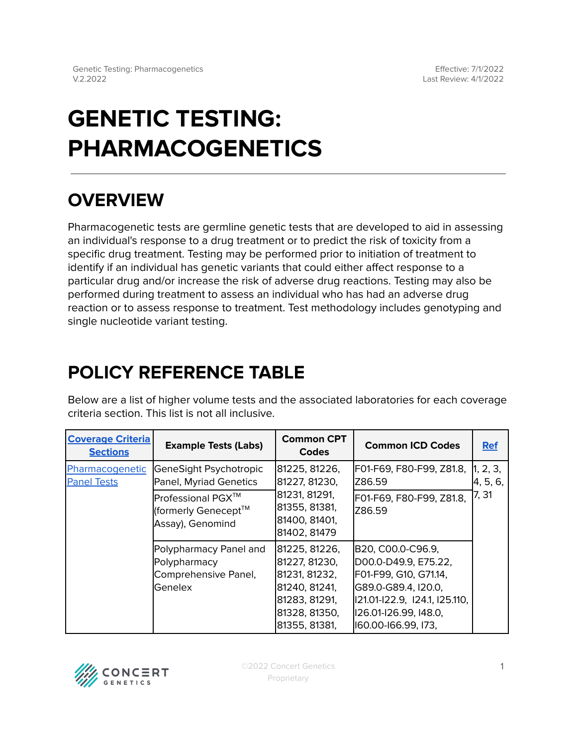# **GENETIC TESTING: PHARMACOGENETICS**

## **OVERVIEW**

Pharmacogenetic tests are germline genetic tests that are developed to aid in assessing an individual's response to a drug treatment or to predict the risk of toxicity from a specific drug treatment. Testing may be performed prior to initiation of treatment to identify if an individual has genetic variants that could either affect response to a particular drug and/or increase the risk of adverse drug reactions. Testing may also be performed during treatment to assess an individual who has had an adverse drug reaction or to assess response to treatment. Test methodology includes genotyping and single nucleotide variant testing.

## <span id="page-0-0"></span>**POLICY REFERENCE TABLE**

Below are a list of higher volume tests and the associated laboratories for each coverage criteria section. This list is not all inclusive.

| <b>Coverage Criteria</b><br><b>Sections</b> | <b>Example Tests (Labs)</b>                                               | <b>Common CPT</b><br><b>Codes</b>                                                                                   | <b>Common ICD Codes</b>                                                                                                                                                     | <b>Ref</b>                    |
|---------------------------------------------|---------------------------------------------------------------------------|---------------------------------------------------------------------------------------------------------------------|-----------------------------------------------------------------------------------------------------------------------------------------------------------------------------|-------------------------------|
| Pharmacogenetic<br><b>Panel Tests</b>       | GeneSight Psychotropic<br>Panel, Myriad Genetics                          | 81225, 81226,<br>81227, 81230,                                                                                      | F01-F69, F80-F99, Z81.8,<br>IZ86.59                                                                                                                                         | 1, 2, 3,<br>4, 5, 6,<br>7, 31 |
|                                             | Professional PGX™<br>(formerly Genecept™<br>Assay), Genomind              | 81231, 81291,<br>81355, 81381,<br>81400, 81401,<br>81402, 81479                                                     | F01-F69, F80-F99, Z81.8,<br>IZ86.59                                                                                                                                         |                               |
|                                             | Polypharmacy Panel and<br>Polypharmacy<br>Comprehensive Panel,<br>Genelex | 81225, 81226,<br>81227, 81230,<br>81231, 81232,<br>81240, 81241,<br>81283, 81291,<br>81328, 81350,<br>81355, 81381, | B20, C00.0-C96.9,<br>D00.0-D49.9, E75.22,<br>F01-F99, G10, G71.14,<br>G89.0-G89.4, I20.0,<br>  21.01- 22.9, 124.1, 125.110,<br>126.01-126.99, 148.0,<br>160.00-166.99, 173, |                               |

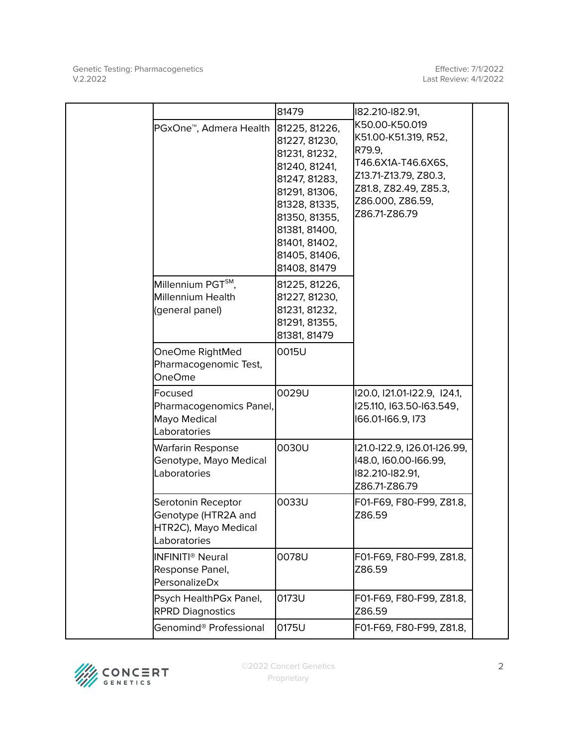Effective: 7/1/2022 Last Review: 4/1/2022

|                                                                                   | 81479                                                                                                                                                                                                   | 182.210-182.91,                                                                                                                                               |
|-----------------------------------------------------------------------------------|---------------------------------------------------------------------------------------------------------------------------------------------------------------------------------------------------------|---------------------------------------------------------------------------------------------------------------------------------------------------------------|
| PGxOne <sup>™</sup> , Admera Health                                               | 81225, 81226,<br>81227, 81230,<br>81231, 81232,<br>81240, 81241,<br>81247, 81283,<br>81291, 81306,<br>81328, 81335,<br>81350, 81355,<br>81381, 81400,<br>81401, 81402,<br>81405, 81406,<br>81408, 81479 | K50.00-K50.019<br>K51.00-K51.319, R52,<br>R79.9,<br>T46.6X1A-T46.6X6S,<br>Z13.71-Z13.79, Z80.3,<br>Z81.8, Z82.49, Z85.3,<br>Z86.000, Z86.59,<br>Z86.71-Z86.79 |
| Millennium PGT <sup>SM</sup> ,<br>Millennium Health<br>(general panel)            | 81225, 81226,<br>81227, 81230,<br>81231, 81232,<br>81291, 81355,<br>81381, 81479                                                                                                                        |                                                                                                                                                               |
| OneOme RightMed<br>Pharmacogenomic Test,<br><b>OneOme</b>                         | 0015U                                                                                                                                                                                                   |                                                                                                                                                               |
| Focused<br>Pharmacogenomics Panel,<br>Mayo Medical<br>Laboratories                | 0029U                                                                                                                                                                                                   | 120.0, 121.01-122.9, 124.1,<br>125.110, 163.50-163.549,<br>166.01-166.9, 173                                                                                  |
| Warfarin Response<br>Genotype, Mayo Medical<br>Laboratories                       | 0030U                                                                                                                                                                                                   | 121.0-122.9, 126.01-126.99,<br>148.0, 160.00-166.99,<br>182.210-182.91,<br>Z86.71-Z86.79                                                                      |
| Serotonin Receptor<br>Genotype (HTR2A and<br>HTR2C), Mayo Medical<br>Laboratories | 0033U                                                                                                                                                                                                   | F01-F69, F80-F99, Z81.8,<br>Z86.59                                                                                                                            |
| INFINITI <sup>®</sup> Neural<br>Response Panel,<br>PersonalizeDx                  | 0078U                                                                                                                                                                                                   | F01-F69, F80-F99, Z81.8,<br>Z86.59                                                                                                                            |
| Psych HealthPGx Panel,<br><b>RPRD Diagnostics</b>                                 | 0173U                                                                                                                                                                                                   | F01-F69, F80-F99, Z81.8,<br>Z86.59                                                                                                                            |
| Genomind® Professional                                                            | 0175U                                                                                                                                                                                                   | F01-F69, F80-F99, Z81.8,                                                                                                                                      |

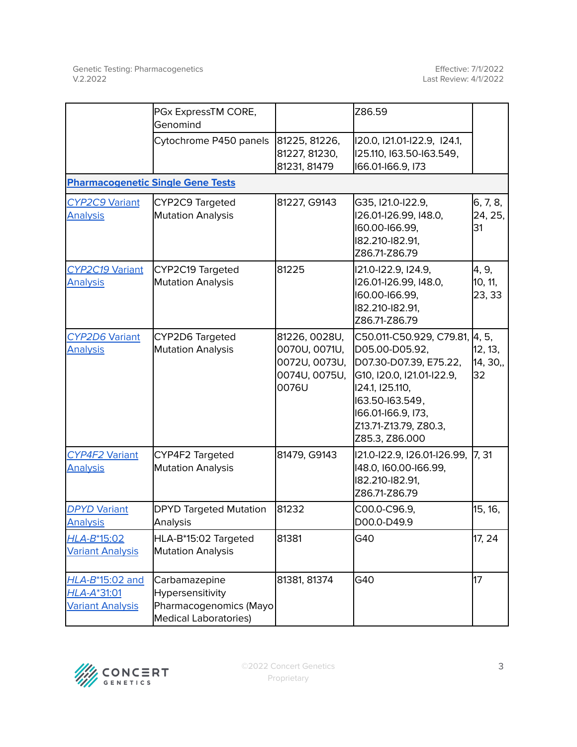|                                                           | PGx ExpressTM CORE,<br>Genomind                                                             |                                                                           | Z86.59                                                                                                                                                                                                   |                                    |  |  |  |
|-----------------------------------------------------------|---------------------------------------------------------------------------------------------|---------------------------------------------------------------------------|----------------------------------------------------------------------------------------------------------------------------------------------------------------------------------------------------------|------------------------------------|--|--|--|
|                                                           | Cytochrome P450 panels                                                                      | 81225, 81226,<br>81227, 81230,<br>81231, 81479                            | 120.0, 121.01-122.9, 124.1,<br>125.110, 163.50-163.549,<br>166.01-166.9, 173                                                                                                                             |                                    |  |  |  |
|                                                           | <b>Pharmacogenetic Single Gene Tests</b>                                                    |                                                                           |                                                                                                                                                                                                          |                                    |  |  |  |
| <b>CYP2C9 Variant</b><br><b>Analysis</b>                  | CYP2C9 Targeted<br><b>Mutation Analysis</b>                                                 | 81227, G9143                                                              | G35, I21.0-I22.9,<br>I26.01-I26.99, I48.0,<br>160.00-166.99,<br>182.210-182.91,<br>Z86.71-Z86.79                                                                                                         | 6, 7, 8,<br>24, 25,<br>31          |  |  |  |
| CYP2C19 Variant<br><b>Analysis</b>                        | CYP2C19 Targeted<br><b>Mutation Analysis</b>                                                | 81225                                                                     | 121.0-122.9, 124.9,<br>I26.01-I26.99, I48.0,<br>160.00-166.99,<br>182.210-182.91,<br>Z86.71-Z86.79                                                                                                       | 4, 9,<br>10, 11,<br>23, 33         |  |  |  |
| <b>CYP2D6 Variant</b><br><b>Analysis</b>                  | CYP2D6 Targeted<br><b>Mutation Analysis</b>                                                 | 81226, 0028U,<br>0070U, 0071U,<br>0072U, 0073U,<br>0074U, 0075U,<br>0076U | C50.011-C50.929, C79.81,<br>D05.00-D05.92,<br>D07.30-D07.39, E75.22,<br>G10, I20.0, I21.01-I22.9,<br>124.1, 125.110,<br>163.50-163.549,<br>166.01-166.9, 173,<br>Z13.71-Z13.79, Z80.3,<br>Z85.3, Z86.000 | 4, 5,<br>12, 13,<br>14, 30,,<br>32 |  |  |  |
| CYP4F2 Variant<br><b>Analysis</b>                         | CYP4F2 Targeted<br>Mutation Analysis                                                        | 81479, G9143                                                              | 121.0-122.9, 126.01-126.99,<br>I48.0, I60.00-I66.99,<br>182.210-182.91,<br>Z86.71-Z86.79                                                                                                                 | 7, 31                              |  |  |  |
| <b>DPYD Variant</b><br><b>Analysis</b>                    | <b>DPYD Targeted Mutation</b><br>Analysis                                                   | 81232                                                                     | C00.0-C96.9,<br>D00.0-D49.9                                                                                                                                                                              | 15, 16,                            |  |  |  |
| HLA-B*15:02<br><b>Variant Analysis</b>                    | HLA-B*15:02 Targeted<br><b>Mutation Analysis</b>                                            | 81381                                                                     | G40                                                                                                                                                                                                      | 17, 24                             |  |  |  |
| HLA-B*15:02 and<br>HLA-A*31:01<br><b>Variant Analysis</b> | Carbamazepine<br>Hypersensitivity<br>Pharmacogenomics (Mayo<br><b>Medical Laboratories)</b> | 81381, 81374                                                              | G40                                                                                                                                                                                                      | 17                                 |  |  |  |

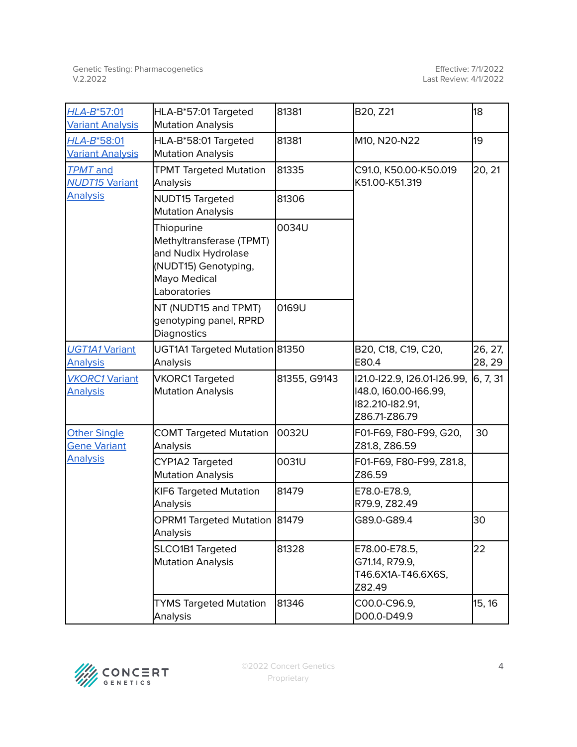| HLA-B*57:01<br><b>Variant Analysis</b>                        | HLA-B*57:01 Targeted<br><b>Mutation Analysis</b>                                                                      | 81381        | B20, Z21                                                                                 | 18                |
|---------------------------------------------------------------|-----------------------------------------------------------------------------------------------------------------------|--------------|------------------------------------------------------------------------------------------|-------------------|
| HLA-B*58:01<br><b>Variant Analysis</b>                        | HLA-B*58:01 Targeted<br><b>Mutation Analysis</b>                                                                      | 81381        | M10, N20-N22                                                                             | 19                |
| <b>TPMT</b> and<br><b>NUDT15 Variant</b>                      | <b>TPMT Targeted Mutation</b><br>Analysis                                                                             | 81335        | C91.0, K50.00-K50.019<br>K51.00-K51.319                                                  | 20, 21            |
| <b>Analysis</b>                                               | NUDT15 Targeted<br>Mutation Analysis                                                                                  | 81306        |                                                                                          |                   |
|                                                               | Thiopurine<br>Methyltransferase (TPMT)<br>and Nudix Hydrolase<br>(NUDT15) Genotyping,<br>Mayo Medical<br>Laboratories | 0034U        |                                                                                          |                   |
|                                                               | NT (NUDT15 and TPMT)<br>genotyping panel, RPRD<br>Diagnostics                                                         | 0169U        |                                                                                          |                   |
| <b>UGT1A1 Variant</b><br><b>Analysis</b>                      | UGT1A1 Targeted Mutation 81350<br>Analysis                                                                            |              | B20, C18, C19, C20,<br>E80.4                                                             | 26, 27,<br>28, 29 |
| <b>VKORC1 Variant</b><br><b>Analysis</b>                      | <b>VKORC1 Targeted</b><br><b>Mutation Analysis</b>                                                                    | 81355, G9143 | I21.0-I22.9, I26.01-I26.99,<br>148.0, 160.00-166.99,<br>182.210-182.91,<br>Z86.71-Z86.79 | 6, 7, 31          |
| <b>Other Single</b><br><b>Gene Variant</b><br><b>Analysis</b> | <b>COMT Targeted Mutation</b><br>Analysis                                                                             | 0032U        | F01-F69, F80-F99, G20,<br>Z81.8, Z86.59                                                  | 30                |
|                                                               | CYP1A2 Targeted<br><b>Mutation Analysis</b>                                                                           | 0031U        | F01-F69, F80-F99, Z81.8,<br>Z86.59                                                       |                   |
|                                                               | <b>KIF6 Targeted Mutation</b><br>Analysis                                                                             | 81479        | E78.0-E78.9,<br>R79.9, Z82.49                                                            |                   |
|                                                               | OPRM1 Targeted Mutation 81479<br>Analysis                                                                             |              | G89.0-G89.4                                                                              | 30                |
|                                                               | SLCO1B1 Targeted<br><b>Mutation Analysis</b>                                                                          | 81328        | E78.00-E78.5,<br>G71.14, R79.9,<br>T46.6X1A-T46.6X6S,<br>Z82.49                          | 22                |
|                                                               | <b>TYMS Targeted Mutation</b><br>Analysis                                                                             | 81346        | C00.0-C96.9,<br>D00.0-D49.9                                                              | 15, 16            |

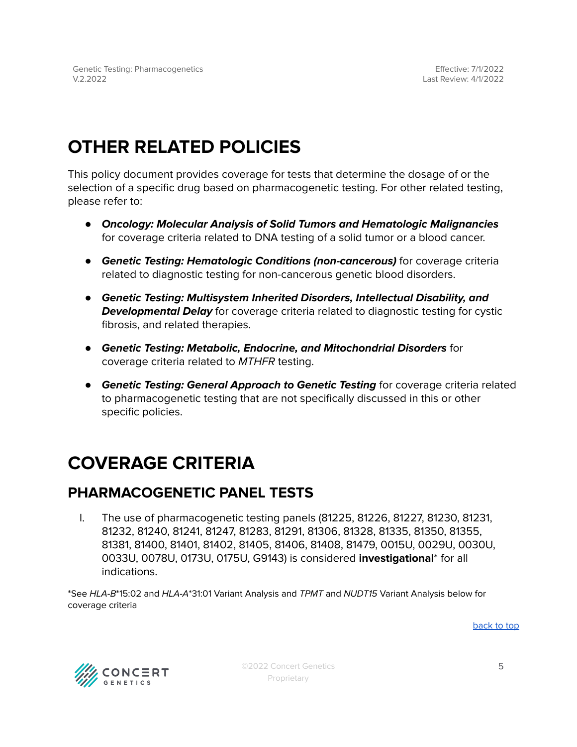## **OTHER RELATED POLICIES**

This policy document provides coverage for tests that determine the dosage of or the selection of a specific drug based on pharmacogenetic testing. For other related testing, please refer to:

- **Oncology: Molecular Analysis of Solid Tumors and Hematologic Malignancies** for coverage criteria related to DNA testing of a solid tumor or a blood cancer.
- **Genetic Testing: Hematologic Conditions (non-cancerous)** for coverage criteria related to diagnostic testing for non-cancerous genetic blood disorders.
- **Genetic Testing: Multisystem Inherited Disorders, Intellectual Disability, and Developmental Delay** for coverage criteria related to diagnostic testing for cystic fibrosis, and related therapies.
- **Genetic Testing: Metabolic, Endocrine, and Mitochondrial Disorders** for coverage criteria related to MTHFR testing.
- **Genetic Testing: General Approach to Genetic Testing** for coverage criteria related to pharmacogenetic testing that are not specifically discussed in this or other specific policies.

## <span id="page-4-0"></span>**COVERAGE CRITERIA**

## <span id="page-4-1"></span>**PHARMACOGENETIC PANEL TESTS**

I. The use of pharmacogenetic testing panels (81225, 81226, 81227, 81230, 81231, 81232, 81240, 81241, 81247, 81283, 81291, 81306, 81328, 81335, 81350, 81355, 81381, 81400, 81401, 81402, 81405, 81406, 81408, 81479, 0015U, 0029U, 0030U, 0033U, 0078U, 0173U, 0175U, G9143) is considered **investigational**\* for all indications.

\*See HLA-B\*15:02 and HLA-A\*31:01 Variant Analysis and TPMT and NUDT15 Variant Analysis below for coverage criteria

[back](#page-0-0) to top



©2022 Concert Genetics Proprietary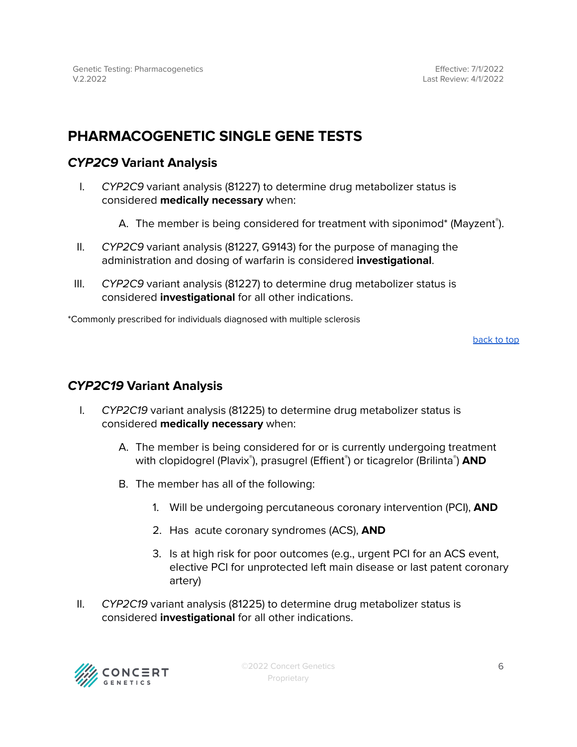## <span id="page-5-0"></span>**PHARMACOGENETIC SINGLE GENE TESTS**

### <span id="page-5-1"></span>**CYP2C9 Variant Analysis**

- I. CYP2C9 variant analysis (81227) to determine drug metabolizer status is considered **medically necessary** when:
	- A. The member is being considered for treatment with siponimod\* (Mayzent®).
- II. CYP2C9 variant analysis (81227, G9143) for the purpose of managing the administration and dosing of warfarin is considered **investigational**.
- III. CYP2C9 variant analysis (81227) to determine drug metabolizer status is considered **investigational** for all other indications.

\*Commonly prescribed for individuals diagnosed with multiple sclerosis

[back](#page-0-0) to top

### <span id="page-5-2"></span>**CYP2C19 Variant Analysis**

- I. CYP2C19 variant analysis (81225) to determine drug metabolizer status is considered **medically necessary** when:
	- A. The member is being considered for or is currently undergoing treatment with clopidogrel (Plavix<sup>®</sup>), prasugrel (Effient®) or ticagrelor (Brilinta®) **AND**
	- B. The member has all of the following:
		- 1. Will be undergoing percutaneous coronary intervention (PCI), **AND**
		- 2. Has acute coronary syndromes (ACS), **AND**
		- 3. Is at high risk for poor outcomes (e.g., urgent PCI for an ACS event, elective PCI for unprotected left main disease or last patent coronary artery)
- II. CYP2C19 variant analysis (81225) to determine drug metabolizer status is considered **investigational** for all other indications.

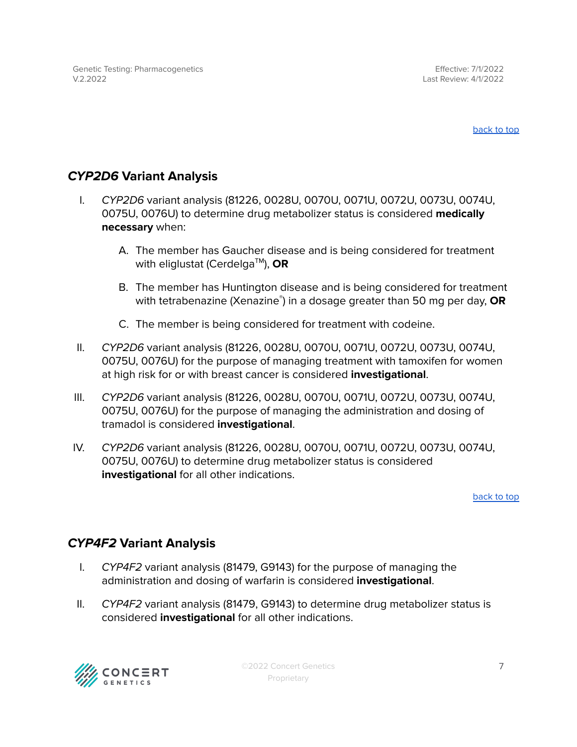Effective: 7/1/2022 Last Review: 4/1/2022

[back](#page-0-0) to top

## <span id="page-6-0"></span>**CYP2D6 Variant Analysis**

- I. CYP2D6 variant analysis (81226, 0028U, 0070U, 0071U, 0072U, 0073U, 0074U, 0075U, 0076U) to determine drug metabolizer status is considered **medically necessary** when:
	- A. The member has Gaucher disease and is being considered for treatment with eliglustat (Cerdelga TM ), **OR**
	- B. The member has Huntington disease and is being considered for treatment with tetrabenazine (Xenazine ® ) in a dosage greater than 50 mg per day, **OR**
	- C. The member is being considered for treatment with codeine.
- II. CYP2D6 variant analysis (81226, 0028U, 0070U, 0071U, 0072U, 0073U, 0074U, 0075U, 0076U) for the purpose of managing treatment with tamoxifen for women at high risk for or with breast cancer is considered **investigational**.
- III. CYP2D6 variant analysis (81226, 0028U, 0070U, 0071U, 0072U, 0073U, 0074U, 0075U, 0076U) for the purpose of managing the administration and dosing of tramadol is considered **investigational**.
- IV. CYP2D6 variant analysis (81226, 0028U, 0070U, 0071U, 0072U, 0073U, 0074U, 0075U, 0076U) to determine drug metabolizer status is considered **investigational** for all other indications.

[back](#page-0-0) to top

### <span id="page-6-1"></span>**CYP4F2 Variant Analysis**

- I. CYP4F2 variant analysis (81479, G9143) for the purpose of managing the administration and dosing of warfarin is considered **investigational**.
- II. CYP4F2 variant analysis (81479, G9143) to determine drug metabolizer status is considered **investigational** for all other indications.

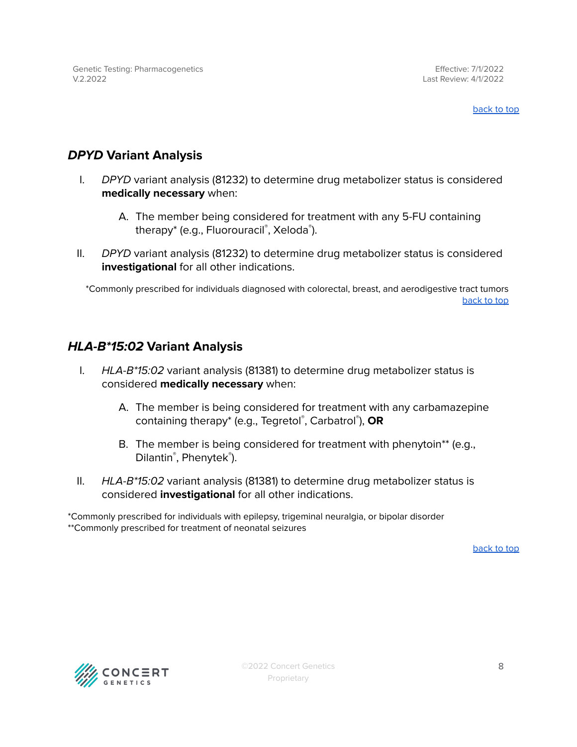## <span id="page-7-0"></span>**DPYD Variant Analysis**

- I. DPYD variant analysis (81232) to determine drug metabolizer status is considered **medically necessary** when:
	- A. The member being considered for treatment with any 5-FU containing therapy\* (e.g., Fluorouracil®, Xeloda®).
- II. DPYD variant analysis (81232) to determine drug metabolizer status is considered **investigational** for all other indications.

\*Commonly prescribed for individuals diagnosed with colorectal, breast, and aerodigestive tract tumors [back](#page-0-0) to top

## <span id="page-7-1"></span>**HLA-B\*15:02 Variant Analysis**

- I.  $HLA-B*15:02$  variant analysis (81381) to determine drug metabolizer status is considered **medically necessary** when:
	- A. The member is being considered for treatment with any carbamazepine containing therapy\* (e.g., Tegretol ® , Carbatrol ® ), **OR**
	- B. The member is being considered for treatment with phenytoin\*\* (e.g., Dilantin<sup>®</sup>, Phenytek<sup>®</sup>).
- II. *HLA-B<sup>\*</sup>15:02* variant analysis (81381) to determine drug metabolizer status is considered **investigational** for all other indications.

\*Commonly prescribed for individuals with epilepsy, trigeminal neuralgia, or bipolar disorder \*\*Commonly prescribed for treatment of neonatal seizures

[back](#page-0-0) to top

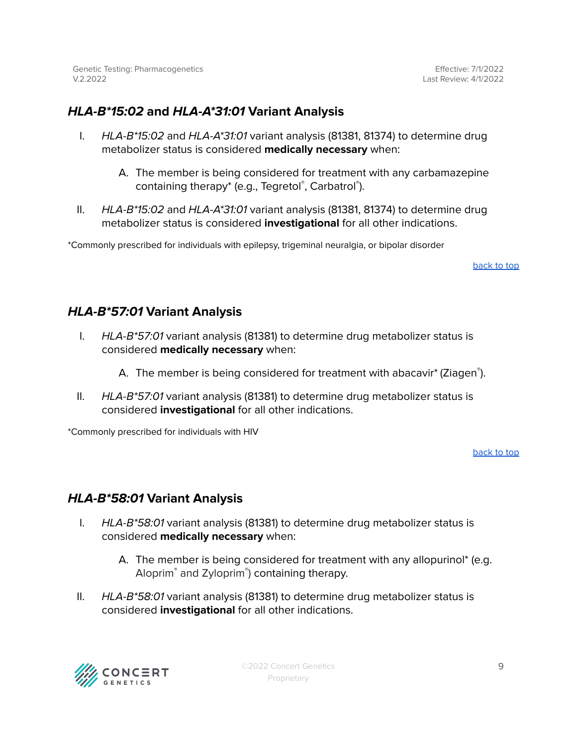Effective: 7/1/2022 Last Review: 4/1/2022

## <span id="page-8-0"></span>**HLA-B\*15:02 and HLA-A\*31:01 Variant Analysis**

- I.  $HLA-B*15:02$  and  $HLA-A*31:01$  variant analysis (81381, 81374) to determine drug metabolizer status is considered **medically necessary** when:
	- A. The member is being considered for treatment with any carbamazepine containing therapy\* (e.g., Tegretol®, Carbatrol®).
- II.  $HLA-B*15:02$  and  $HLA-A*31:01$  variant analysis (81381, 81374) to determine drug metabolizer status is considered **investigational** for all other indications.

\*Commonly prescribed for individuals with epilepsy, trigeminal neuralgia, or bipolar disorder

[back](#page-0-0) to top

#### <span id="page-8-1"></span>**HLA-B\*57:01 Variant Analysis**

- I.  $HLA-B*57:01$  variant analysis (81381) to determine drug metabolizer status is considered **medically necessary** when:
	- A. The member is being considered for treatment with abacavir\* (Ziagen®).
- II. HLA-B\*57:01 variant analysis (81381) to determine drug metabolizer status is considered **investigational** for all other indications.

\*Commonly prescribed for individuals with HIV

[back](#page-0-0) to top

### <span id="page-8-2"></span>**HLA-B\*58:01 Variant Analysis**

- I.  $HLA-B*58:01$  variant analysis (81381) to determine drug metabolizer status is considered **medically necessary** when:
	- A. The member is being considered for treatment with any allopurinol\* (e.g. Aloprim® and Zyloprim® ) containing therapy.
- II. HLA-B\*58:01 variant analysis (81381) to determine drug metabolizer status is considered **investigational** for all other indications.

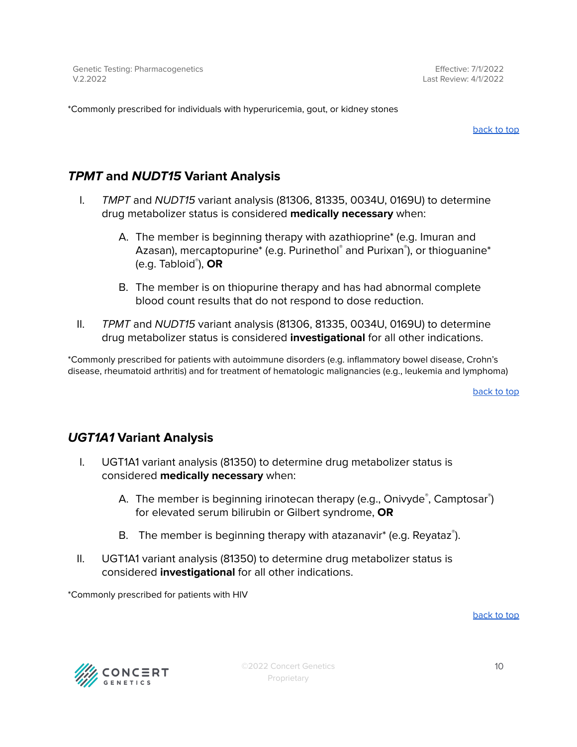\*Commonly prescribed for individuals with hyperuricemia, gout, or kidney stones

[back](#page-0-0) to top

## <span id="page-9-0"></span>**TPMT and NUDT15 Variant Analysis**

- I. TMPT and NUDT15 variant analysis (81306, 81335, 0034U, 0169U) to determine drug metabolizer status is considered **medically necessary** when:
	- A. The member is beginning therapy with azathioprine\* (e.g. Imuran and Azasan), mercaptopurine\* (e.g. Purinethol ® and Purixan ® ), or thioguanine\* (e.g. Tabloid ® ), **OR**
	- B. The member is on thiopurine therapy and has had abnormal complete blood count results that do not respond to dose reduction.
- II. TPMT and NUDT15 variant analysis (81306, 81335, 0034U, 0169U) to determine drug metabolizer status is considered **investigational** for all other indications.

\*Commonly prescribed for patients with autoimmune disorders (e.g. inflammatory bowel disease, Crohn's disease, rheumatoid arthritis) and for treatment of hematologic malignancies (e.g., leukemia and lymphoma)

[back](#page-0-0) to top

### <span id="page-9-1"></span>**UGT1A1 Variant Analysis**

- I. UGT1A1 variant analysis (81350) to determine drug metabolizer status is considered **medically necessary** when:
	- A. The member is beginning irinotecan therapy (e.g., Onivyde®, Camptosar®) for elevated serum bilirubin or Gilbert syndrome, **OR**
	- B. The member is beginning therapy with atazanavir\* (e.g. Reyataz®).
- II. UGT1A1 variant analysis (81350) to determine drug metabolizer status is considered **investigational** for all other indications.

\*Commonly prescribed for patients with HIV

[back](#page-0-0) to top

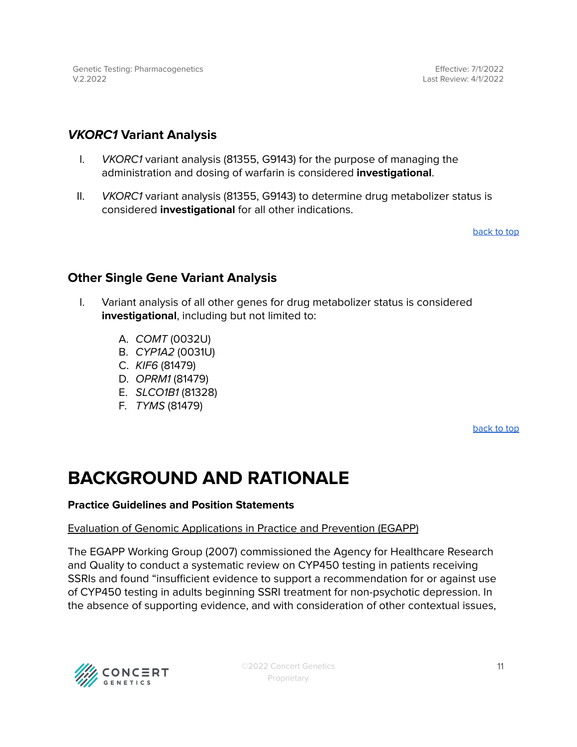Effective: 7/1/2022 Last Review: 4/1/2022

#### <span id="page-10-0"></span>**VKORC1 Variant Analysis**

- I. VKORC1 variant analysis (81355, G9143) for the purpose of managing the administration and dosing of warfarin is considered **investigational**.
- II. VKORC1 variant analysis (81355, G9143) to determine drug metabolizer status is considered **investigational** for all other indications.

[back](#page-0-0) to top

#### <span id="page-10-1"></span>**Other Single Gene Variant Analysis**

- I. Variant analysis of all other genes for drug metabolizer status is considered **investigational**, including but not limited to:
	- A. COMT (0032U)
	- B. CYP1A2 (0031U)
	- C. KIF6 (81479)
	- D. OPRM1 (81479)
	- E. SLCO1B1 (81328)
	- F. TYMS (81479)

[back](#page-0-0) to top

## **BACKGROUND AND RATIONALE**

#### **Practice Guidelines and Position Statements**

#### Evaluation of Genomic Applications in Practice and Prevention (EGAPP)

The EGAPP Working Group (2007) commissioned the Agency for Healthcare Research and Quality to conduct a systematic review on CYP450 testing in patients receiving SSRIs and found "insufficient evidence to support a recommendation for or against use of CYP450 testing in adults beginning SSRI treatment for non-psychotic depression. In the absence of supporting evidence, and with consideration of other contextual issues,

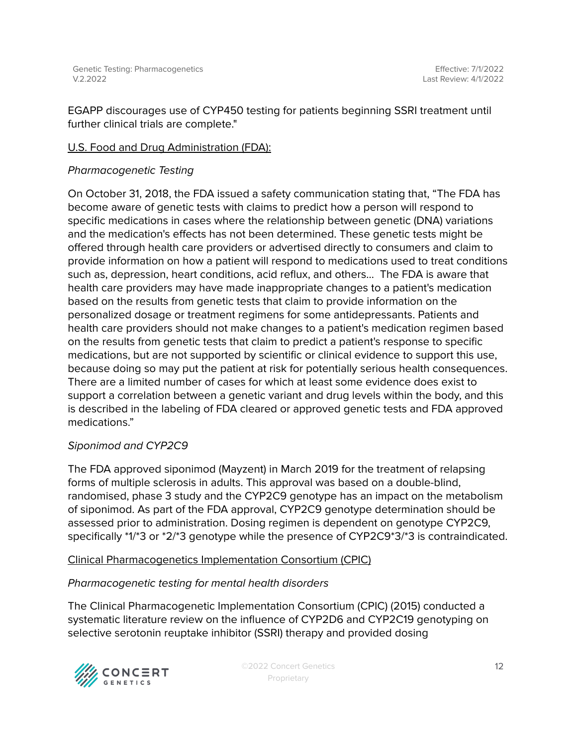EGAPP discourages use of CYP450 testing for patients beginning SSRI treatment until further clinical trials are complete."

#### U.S. Food and Drug Administration (FDA):

#### Pharmacogenetic Testing

On October 31, 2018, the FDA issued a safety communication stating that, "The FDA has become aware of genetic tests with claims to predict how a person will respond to specific medications in cases where the relationship between genetic (DNA) variations and the medication's effects has not been determined. These genetic tests might be offered through health care providers or advertised directly to consumers and claim to provide information on how a patient will respond to medications used to treat conditions such as, depression, heart conditions, acid reflux, and others… The FDA is aware that health care providers may have made inappropriate changes to a patient's medication based on the results from genetic tests that claim to provide information on the personalized dosage or treatment regimens for some antidepressants. Patients and health care providers should not make changes to a patient's medication regimen based on the results from genetic tests that claim to predict a patient's response to specific medications, but are not supported by scientific or clinical evidence to support this use, because doing so may put the patient at risk for potentially serious health consequences. There are a limited number of cases for which at least some evidence does exist to support a correlation between a genetic variant and drug levels within the body, and this is described in the labeling of FDA cleared or approved genetic tests and FDA approved medications."

#### Siponimod and CYP2C9

The FDA approved siponimod (Mayzent) in March 2019 for the treatment of relapsing forms of multiple sclerosis in adults. This approval was based on a double-blind, randomised, phase 3 study and the CYP2C9 genotype has an impact on the metabolism of siponimod. As part of the FDA approval, CYP2C9 genotype determination should be assessed prior to administration. Dosing regimen is dependent on genotype CYP2C9, specifically \*1/\*3 or \*2/\*3 genotype while the presence of CYP2C9\*3/\*3 is contraindicated.

#### Clinical Pharmacogenetics Implementation Consortium (CPIC)

#### Pharmacogenetic testing for mental health disorders

The Clinical Pharmacogenetic Implementation Consortium (CPIC) (2015) conducted a systematic literature review on the influence of CYP2D6 and CYP2C19 genotyping on selective serotonin reuptake inhibitor (SSRI) therapy and provided dosing

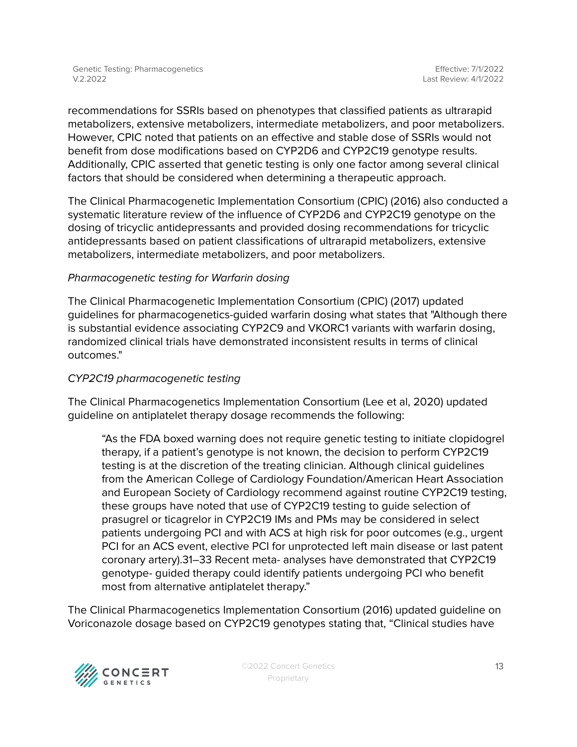recommendations for SSRIs based on phenotypes that classified patients as ultrarapid metabolizers, extensive metabolizers, intermediate metabolizers, and poor metabolizers. However, CPIC noted that patients on an effective and stable dose of SSRIs would not benefit from dose modifications based on CYP2D6 and CYP2C19 genotype results. Additionally, CPIC asserted that genetic testing is only one factor among several clinical factors that should be considered when determining a therapeutic approach.

The Clinical Pharmacogenetic Implementation Consortium (CPIC) (2016) also conducted a systematic literature review of the influence of CYP2D6 and CYP2C19 genotype on the dosing of tricyclic antidepressants and provided dosing recommendations for tricyclic antidepressants based on patient classifications of ultrarapid metabolizers, extensive metabolizers, intermediate metabolizers, and poor metabolizers.

#### Pharmacogenetic testing for Warfarin dosing

The Clinical Pharmacogenetic Implementation Consortium (CPIC) (2017) updated guidelines for pharmacogenetics-guided warfarin dosing what states that "Although there is substantial evidence associating CYP2C9 and VKORC1 variants with warfarin dosing, randomized clinical trials have demonstrated inconsistent results in terms of clinical outcomes."

#### CYP2C19 pharmacogenetic testing

The Clinical Pharmacogenetics Implementation Consortium (Lee et al, 2020) updated guideline on antiplatelet therapy dosage recommends the following:

"As the FDA boxed warning does not require genetic testing to initiate clopidogrel therapy, if a patient's genotype is not known, the decision to perform CYP2C19 testing is at the discretion of the treating clinician. Although clinical guidelines from the American College of Cardiology Foundation/American Heart Association and European Society of Cardiology recommend against routine CYP2C19 testing, these groups have noted that use of CYP2C19 testing to guide selection of prasugrel or ticagrelor in CYP2C19 IMs and PMs may be considered in select patients undergoing PCI and with ACS at high risk for poor outcomes (e.g., urgent PCI for an ACS event, elective PCI for unprotected left main disease or last patent coronary artery).31–33 Recent meta- analyses have demonstrated that CYP2C19 genotype- guided therapy could identify patients undergoing PCI who benefit most from alternative antiplatelet therapy."

The Clinical Pharmacogenetics Implementation Consortium (2016) updated guideline on Voriconazole dosage based on CYP2C19 genotypes stating that, "Clinical studies have

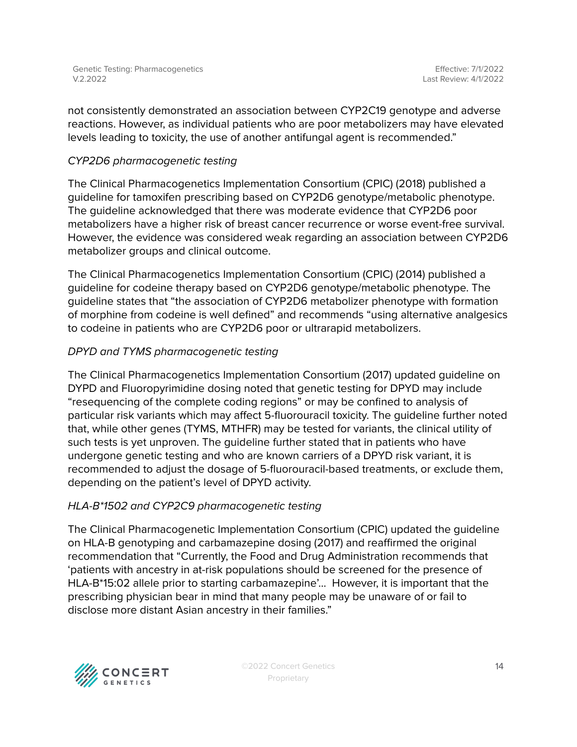not consistently demonstrated an association between CYP2C19 genotype and adverse reactions. However, as individual patients who are poor metabolizers may have elevated levels leading to toxicity, the use of another antifungal agent is recommended."

#### CYP2D6 pharmacogenetic testing

The Clinical Pharmacogenetics Implementation Consortium (CPIC) (2018) published a guideline for tamoxifen prescribing based on CYP2D6 genotype/metabolic phenotype. The guideline acknowledged that there was moderate evidence that CYP2D6 poor metabolizers have a higher risk of breast cancer recurrence or worse event-free survival. However, the evidence was considered weak regarding an association between CYP2D6 metabolizer groups and clinical outcome.

The Clinical Pharmacogenetics Implementation Consortium (CPIC) (2014) published a guideline for codeine therapy based on CYP2D6 genotype/metabolic phenotype. The guideline states that "the association of CYP2D6 metabolizer phenotype with formation of morphine from codeine is well defined" and recommends "using alternative analgesics to codeine in patients who are CYP2D6 poor or ultrarapid metabolizers.

#### DPYD and TYMS pharmacogenetic testing

The Clinical Pharmacogenetics Implementation Consortium (2017) updated guideline on DYPD and Fluoropyrimidine dosing noted that genetic testing for DPYD may include "resequencing of the complete coding regions" or may be confined to analysis of particular risk variants which may affect 5-fluorouracil toxicity. The guideline further noted that, while other genes (TYMS, MTHFR) may be tested for variants, the clinical utility of such tests is yet unproven. The guideline further stated that in patients who have undergone genetic testing and who are known carriers of a DPYD risk variant, it is recommended to adjust the dosage of 5-fluorouracil-based treatments, or exclude them, depending on the patient's level of DPYD activity.

#### HLA-B\*1502 and CYP2C9 pharmacogenetic testing

The Clinical Pharmacogenetic Implementation Consortium (CPIC) updated the guideline on HLA-B genotyping and carbamazepine dosing (2017) and reaffirmed the original recommendation that "Currently, the Food and Drug Administration recommends that 'patients with ancestry in at-risk populations should be screened for the presence of HLA-B\*15:02 allele prior to starting carbamazepine'... However, it is important that the prescribing physician bear in mind that many people may be unaware of or fail to disclose more distant Asian ancestry in their families."

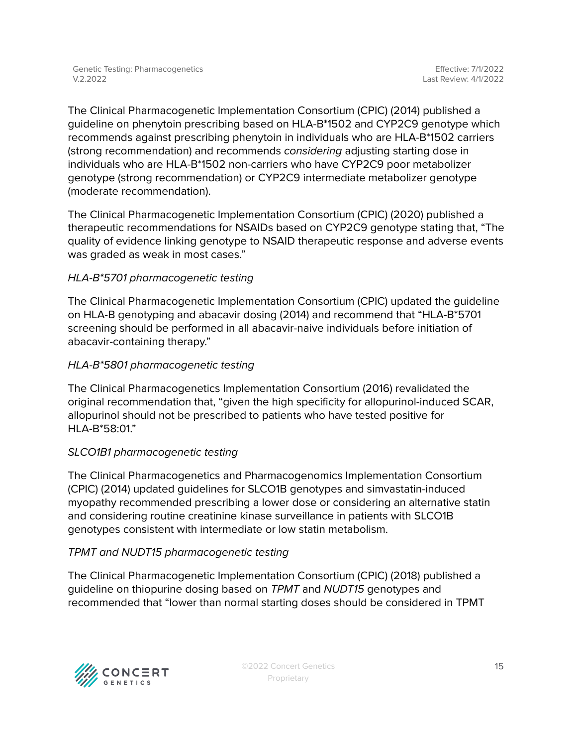The Clinical Pharmacogenetic Implementation Consortium (CPIC) (2014) published a guideline on phenytoin prescribing based on HLA-B\*1502 and CYP2C9 genotype which recommends against prescribing phenytoin in individuals who are HLA-B\*1502 carriers (strong recommendation) and recommends considering adjusting starting dose in individuals who are HLA-B\*1502 non-carriers who have CYP2C9 poor metabolizer genotype (strong recommendation) or CYP2C9 intermediate metabolizer genotype (moderate recommendation).

The Clinical Pharmacogenetic Implementation Consortium (CPIC) (2020) published a therapeutic recommendations for NSAIDs based on CYP2C9 genotype stating that, "The quality of evidence linking genotype to NSAID therapeutic response and adverse events was graded as weak in most cases."

#### HLA-B\*5701 pharmacogenetic testing

The Clinical Pharmacogenetic Implementation Consortium (CPIC) updated the guideline on HLA-B genotyping and abacavir dosing (2014) and recommend that "HLA-B\*5701 screening should be performed in all abacavir-naive individuals before initiation of abacavir-containing therapy."

#### HLA-B\*5801 pharmacogenetic testing

The Clinical Pharmacogenetics Implementation Consortium (2016) revalidated the original recommendation that, "given the high specificity for allopurinol-induced SCAR, allopurinol should not be prescribed to patients who have tested positive for HLA-B\*58:01."

#### SLCO1B1 pharmacogenetic testing

The Clinical Pharmacogenetics and Pharmacogenomics Implementation Consortium (CPIC) (2014) updated guidelines for SLCO1B genotypes and simvastatin-induced myopathy recommended prescribing a lower dose or considering an alternative statin and considering routine creatinine kinase surveillance in patients with SLCO1B genotypes consistent with intermediate or low statin metabolism.

#### TPMT and NUDT15 pharmacogenetic testing

The Clinical Pharmacogenetic Implementation Consortium (CPIC) (2018) published a guideline on thiopurine dosing based on TPMT and NUDT15 genotypes and recommended that "lower than normal starting doses should be considered in TPMT

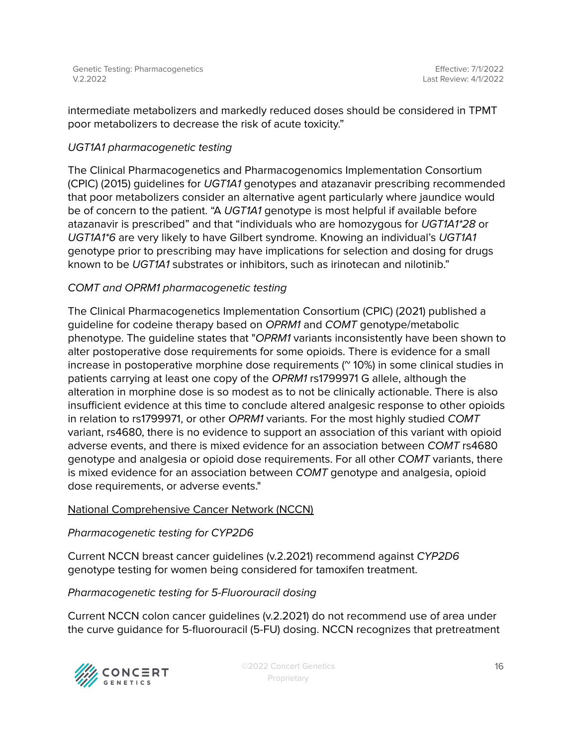intermediate metabolizers and markedly reduced doses should be considered in TPMT poor metabolizers to decrease the risk of acute toxicity."

#### UGT1A1 pharmacogenetic testing

The Clinical Pharmacogenetics and Pharmacogenomics Implementation Consortium (CPIC) (2015) guidelines for UGT1A1 genotypes and atazanavir prescribing recommended that poor metabolizers consider an alternative agent particularly where jaundice would be of concern to the patient. "A UGT1A1 genotype is most helpful if available before atazanavir is prescribed" and that "individuals who are homozygous for UGT1A1\*28 or UGT1A1\*6 are very likely to have Gilbert syndrome. Knowing an individual's UGT1A1 genotype prior to prescribing may have implications for selection and dosing for drugs known to be UGT1A1 substrates or inhibitors, such as irinotecan and nilotinib."

#### COMT and OPRM1 pharmacogenetic testing

The Clinical Pharmacogenetics Implementation Consortium (CPIC) (2021) published a guideline for codeine therapy based on OPRM1 and COMT genotype/metabolic phenotype. The guideline states that "OPRM1 variants inconsistently have been shown to alter postoperative dose requirements for some opioids. There is evidence for a small increase in postoperative morphine dose requirements  $(^\circ$  10%) in some clinical studies in patients carrying at least one copy of the OPRM1 rs1799971 G allele, although the alteration in morphine dose is so modest as to not be clinically actionable. There is also insufficient evidence at this time to conclude altered analgesic response to other opioids in relation to rs1799971, or other OPRM1 variants. For the most highly studied COMT variant, rs4680, there is no evidence to support an association of this variant with opioid adverse events, and there is mixed evidence for an association between COMT rs4680 genotype and analgesia or opioid dose requirements. For all other COMT variants, there is mixed evidence for an association between COMT genotype and analgesia, opioid dose requirements, or adverse events."

#### National Comprehensive Cancer Network (NCCN)

#### Pharmacogenetic testing for CYP2D6

Current NCCN breast cancer guidelines (v.2.2021) recommend against CYP2D6 genotype testing for women being considered for tamoxifen treatment.

#### Pharmacogenetic testing for 5-Fluorouracil dosing

Current NCCN colon cancer guidelines (v.2.2021) do not recommend use of area under the curve guidance for 5-fluorouracil (5-FU) dosing. NCCN recognizes that pretreatment

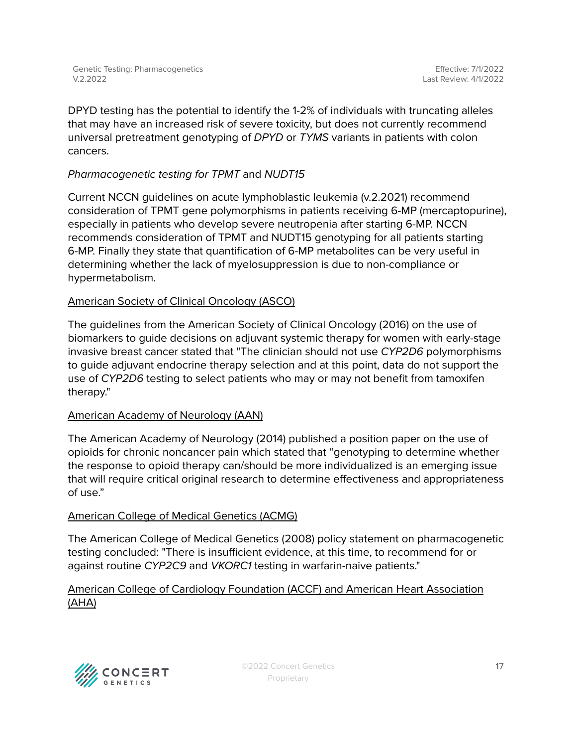DPYD testing has the potential to identify the 1-2% of individuals with truncating alleles that may have an increased risk of severe toxicity, but does not currently recommend universal pretreatment genotyping of DPYD or TYMS variants in patients with colon cancers.

#### Pharmacogenetic testing for TPMT and NUDT15

Current NCCN guidelines on acute lymphoblastic leukemia (v.2.2021) recommend consideration of TPMT gene polymorphisms in patients receiving 6-MP (mercaptopurine), especially in patients who develop severe neutropenia after starting 6-MP. NCCN recommends consideration of TPMT and NUDT15 genotyping for all patients starting 6-MP. Finally they state that quantification of 6-MP metabolites can be very useful in determining whether the lack of myelosuppression is due to non-compliance or hypermetabolism.

#### American Society of Clinical Oncology (ASCO)

The guidelines from the American Society of Clinical Oncology (2016) on the use of biomarkers to guide decisions on adjuvant systemic therapy for women with early-stage invasive breast cancer stated that "The clinician should not use CYP2D6 polymorphisms to guide adjuvant endocrine therapy selection and at this point, data do not support the use of CYP2D6 testing to select patients who may or may not benefit from tamoxifen therapy."

#### American Academy of Neurology (AAN)

The American Academy of Neurology (2014) published a position paper on the use of opioids for chronic noncancer pain which stated that "genotyping to determine whether the response to opioid therapy can/should be more individualized is an emerging issue that will require critical original research to determine effectiveness and appropriateness of use."

#### American College of Medical Genetics (ACMG)

The American College of Medical Genetics (2008) policy statement on pharmacogenetic testing concluded: "There is insufficient evidence, at this time, to recommend for or against routine CYP2C9 and VKORC1 testing in warfarin-naive patients."

#### American College of Cardiology Foundation (ACCF) and American Heart Association (AHA)

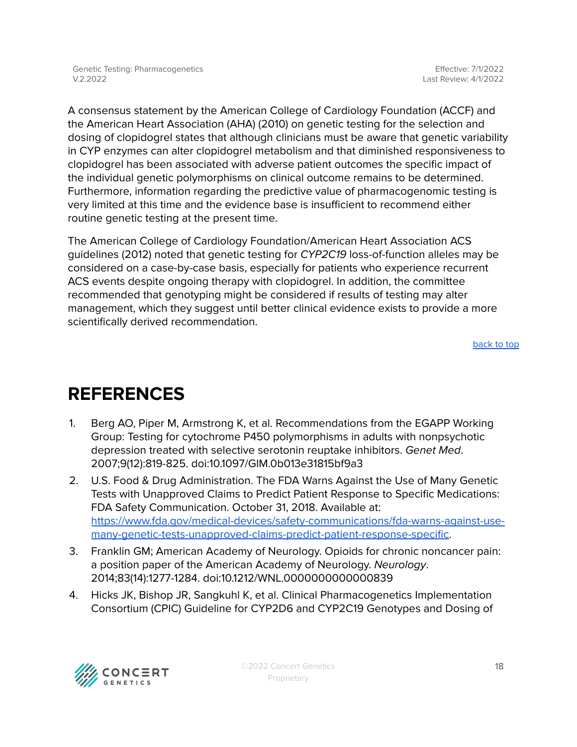A consensus statement by the American College of Cardiology Foundation (ACCF) and the American Heart Association (AHA) (2010) on genetic testing for the selection and dosing of clopidogrel states that although clinicians must be aware that genetic variability in CYP enzymes can alter clopidogrel metabolism and that diminished responsiveness to clopidogrel has been associated with adverse patient outcomes the specific impact of the individual genetic polymorphisms on clinical outcome remains to be determined. Furthermore, information regarding the predictive value of pharmacogenomic testing is very limited at this time and the evidence base is insufficient to recommend either routine genetic testing at the present time.

The American College of Cardiology Foundation/American Heart Association ACS guidelines (2012) noted that genetic testing for CYP2C19 loss-of-function alleles may be considered on a case-by-case basis, especially for patients who experience recurrent ACS events despite ongoing therapy with clopidogrel. In addition, the committee recommended that genotyping might be considered if results of testing may alter management, which they suggest until better clinical evidence exists to provide a more scientifically derived recommendation.

[back](#page-0-0) to top

## <span id="page-17-0"></span>**REFERENCES**

- 1. Berg AO, Piper M, Armstrong K, et al. Recommendations from the EGAPP Working Group: Testing for cytochrome P450 polymorphisms in adults with nonpsychotic depression treated with selective serotonin reuptake inhibitors. Genet Med. 2007;9(12):819-825. doi:10.1097/GIM.0b013e31815bf9a3
- 2. U.S. Food & Drug Administration. The FDA Warns Against the Use of Many Genetic Tests with Unapproved Claims to Predict Patient Response to Specific Medications: FDA Safety Communication. October 31, 2018. Available at: [https://www.fda.gov/medical-devices/safety-communications/fda-warns-against-use](https://www.fda.gov/medical-devices/safety-communications/fda-warns-against-use-many-genetic-tests-unapproved-claims-predict-patient-response-specific)[many-genetic-tests-unapproved-claims-predict-patient-response-specific.](https://www.fda.gov/medical-devices/safety-communications/fda-warns-against-use-many-genetic-tests-unapproved-claims-predict-patient-response-specific)
- 3. Franklin GM; American Academy of Neurology. Opioids for chronic noncancer pain: a position paper of the American Academy of Neurology. Neurology. 2014;83(14):1277-1284. doi:10.1212/WNL.0000000000000839
- 4. Hicks JK, Bishop JR, Sangkuhl K, et al. Clinical Pharmacogenetics Implementation Consortium (CPIC) Guideline for CYP2D6 and CYP2C19 Genotypes and Dosing of

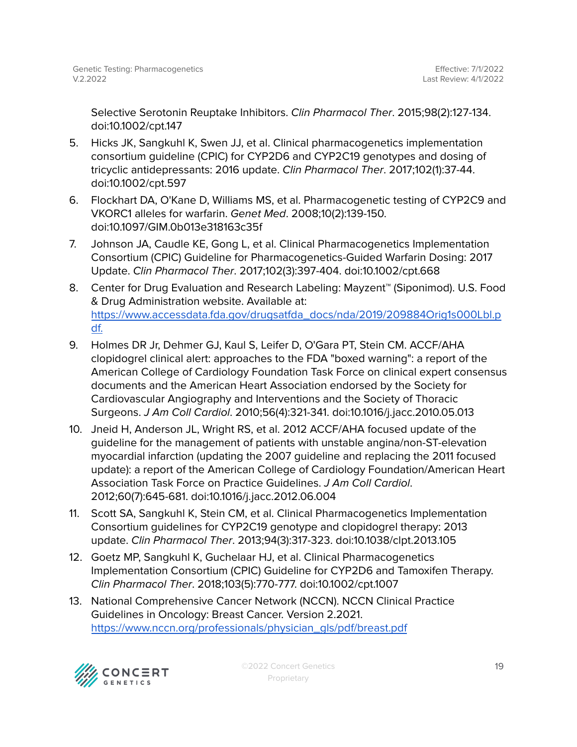Selective Serotonin Reuptake Inhibitors. Clin Pharmacol Ther. 2015;98(2):127-134. doi:10.1002/cpt.147

- 5. Hicks JK, Sangkuhl K, Swen JJ, et al. Clinical pharmacogenetics implementation consortium guideline (CPIC) for CYP2D6 and CYP2C19 genotypes and dosing of tricyclic antidepressants: 2016 update. Clin Pharmacol Ther. 2017;102(1):37-44. doi:10.1002/cpt.597
- 6. Flockhart DA, O'Kane D, Williams MS, et al. Pharmacogenetic testing of CYP2C9 and VKORC1 alleles for warfarin. Genet Med. 2008;10(2):139-150. doi:10.1097/GIM.0b013e318163c35f
- 7. Johnson JA, Caudle KE, Gong L, et al. Clinical Pharmacogenetics Implementation Consortium (CPIC) Guideline for Pharmacogenetics-Guided Warfarin Dosing: 2017 Update. Clin Pharmacol Ther. 2017;102(3):397-404. doi:10.1002/cpt.668
- 8. Center for Drug Evaluation and Research L[ab](https://www.accessdata.fda.gov/drugsatfda_docs/nda/2019/209884Orig1s000Lbl.pdf.)eling: Mayzent™ (Siponimod). U.S. Food & Drug Administration website. Available at: [https://www.accessdata.fda.gov/drugsatfda\\_docs/nda/2019/209884Orig1s000Lbl.p](https://www.accessdata.fda.gov/drugsatfda_docs/nda/2019/209884Orig1s000Lbl.pdf.) [df.](https://www.accessdata.fda.gov/drugsatfda_docs/nda/2019/209884Orig1s000Lbl.pdf.)
- 9. Holmes DR Jr, Dehmer GJ, Kaul S, Leifer D, O'Gara PT, Stein CM. ACCF/AHA clopidogrel clinical alert: approaches to the FDA "boxed warning": a report of the American College of Cardiology Foundation Task Force on clinical expert consensus documents and the American Heart Association endorsed by the Society for Cardiovascular Angiography and Interventions and the Society of Thoracic Surgeons. J Am Coll Cardiol. 2010;56(4):321-341. doi:10.1016/j.jacc.2010.05.013
- 10. Jneid H, Anderson JL, Wright RS, et al. 2012 ACCF/AHA focused update of the guideline for the management of patients with unstable angina/non-ST-elevation myocardial infarction (updating the 2007 guideline and replacing the 2011 focused update): a report of the American College of Cardiology Foundation/American Heart Association Task Force on Practice Guidelines. J Am Coll Cardiol. 2012;60(7):645-681. doi:10.1016/j.jacc.2012.06.004
- 11. Scott SA, Sangkuhl K, Stein CM, et al. Clinical Pharmacogenetics Implementation Consortium guidelines for CYP2C19 genotype and clopidogrel therapy: 2013 update. Clin Pharmacol Ther. 2013;94(3):317-323. doi:10.1038/clpt.2013.105
- 12. Goetz MP, Sangkuhl K, Guchelaar HJ, et al. Clinical Pharmacogenetics Implementation Consortium (CPIC) Guideline for CYP2D6 and Tamoxifen Therapy. Clin Pharmacol Ther. 2018;103(5):770-777. doi:10.1002/cpt.1007
- 13. National Comprehensive Cancer Network (NCCN). NCCN Clinical Practice Guidelines in Oncology: Breast Cancer. Version 2.2021. [https://www.nccn.org/professionals/physician\\_gls/pdf/breast.pdf](https://www.nccn.org/professionals/physician_gls/pdf/breast.pdf)

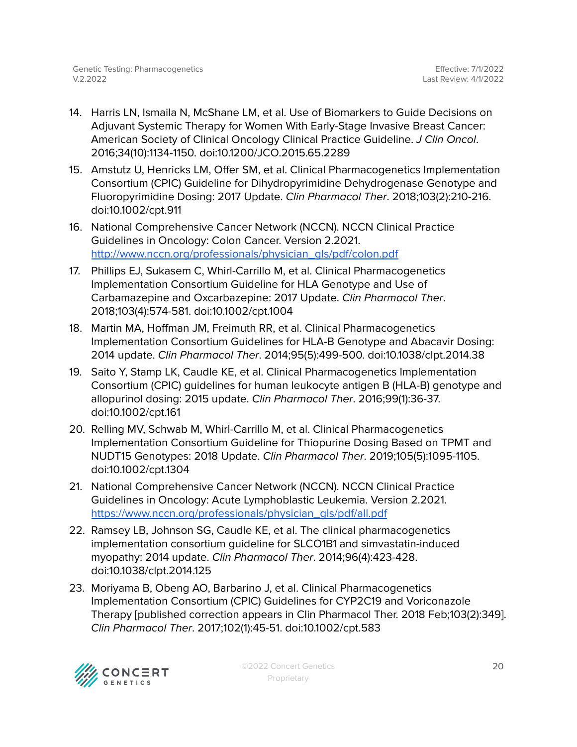- 14. Harris LN, Ismaila N, McShane LM, et al. Use of Biomarkers to Guide Decisions on Adjuvant Systemic Therapy for Women With Early-Stage Invasive Breast Cancer: American Society of Clinical Oncology Clinical Practice Guideline. J Clin Oncol. 2016;34(10):1134-1150. doi:10.1200/JCO.2015.65.2289
- 15. Amstutz U, Henricks LM, Offer SM, et al. Clinical Pharmacogenetics Implementation Consortium (CPIC) Guideline for Dihydropyrimidine Dehydrogenase Genotype and Fluoropyrimidine Dosing: 2017 Update. Clin Pharmacol Ther. 2018;103(2):210-216. doi:10.1002/cpt.911
- 16. National Comprehensive Cancer Network (NCCN). NCCN Clinical Practice Guidelines in Oncology: Colon Cancer. Version 2.2021. [http://www.nccn.org/professionals/physician\\_gls/pdf/colon.pdf](http://www.nccn.org/professionals/physician_gls/pdf/colon.pdf)
- 17. Phillips EJ, Sukasem C, Whirl-Carrillo M, et al. Clinical Pharmacogenetics Implementation Consortium Guideline for HLA Genotype and Use of Carbamazepine and Oxcarbazepine: 2017 Update. Clin Pharmacol Ther. 2018;103(4):574-581. doi:10.1002/cpt.1004
- 18. Martin MA, Hoffman JM, Freimuth RR, et al. Clinical Pharmacogenetics Implementation Consortium Guidelines for HLA-B Genotype and Abacavir Dosing: 2014 update. Clin Pharmacol Ther. 2014;95(5):499-500. doi:10.1038/clpt.2014.38
- 19. Saito Y, Stamp LK, Caudle KE, et al. Clinical Pharmacogenetics Implementation Consortium (CPIC) guidelines for human leukocyte antigen B (HLA-B) genotype and allopurinol dosing: 2015 update. Clin Pharmacol Ther. 2016;99(1):36-37. doi:10.1002/cpt.161
- 20. Relling MV, Schwab M, Whirl-Carrillo M, et al. Clinical Pharmacogenetics Implementation Consortium Guideline for Thiopurine Dosing Based on TPMT and NUDT15 Genotypes: 2018 Update. Clin Pharmacol Ther. 2019;105(5):1095-1105. doi:10.1002/cpt.1304
- 21. National Comprehensive Cancer Network (NCCN). NCCN Clinical Practice Guidelines in Oncology: Acute Lymphoblastic Leukemia. Version 2.2021. [https://www.nccn.org/professionals/physician\\_gls/pdf/all.pdf](https://www.nccn.org/professionals/physician_gls/pdf/all.pdf)
- 22. Ramsey LB, Johnson SG, Caudle KE, et al. The clinical pharmacogenetics implementation consortium guideline for SLCO1B1 and simvastatin-induced myopathy: 2014 update. Clin Pharmacol Ther. 2014;96(4):423-428. doi:10.1038/clpt.2014.125
- 23. Moriyama B, Obeng AO, Barbarino J, et al. Clinical Pharmacogenetics Implementation Consortium (CPIC) Guidelines for CYP2C19 and Voriconazole Therapy [published correction appears in Clin Pharmacol Ther. 2018 Feb;103(2):349]. Clin Pharmacol Ther. 2017;102(1):45-51. doi:10.1002/cpt.583

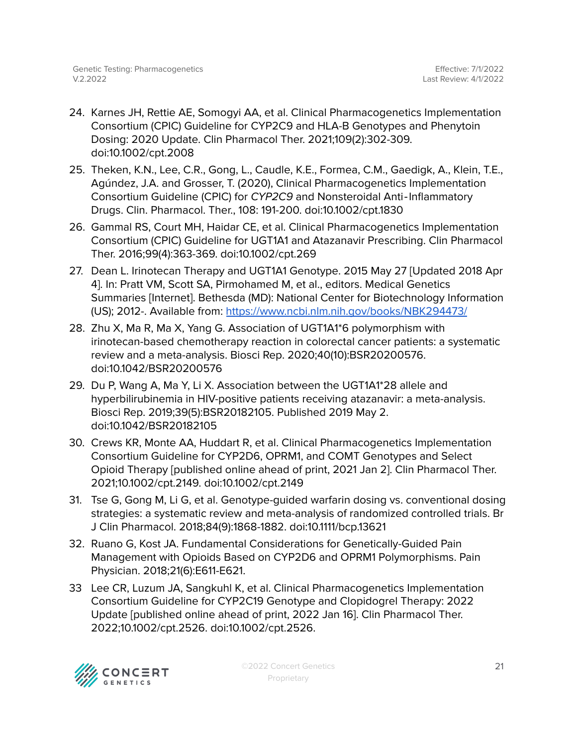- 24. Karnes JH, Rettie AE, Somogyi AA, et al. Clinical Pharmacogenetics Implementation Consortium (CPIC) Guideline for CYP2C9 and HLA-B Genotypes and Phenytoin Dosing: 2020 Update. Clin Pharmacol Ther. 2021;109(2):302-309. doi:10.1002/cpt.2008
- 25. Theken, K.N., Lee, C.R., Gong, L., Caudle, K.E., Formea, C.M., Gaedigk, A., Klein, T.E., Agúndez, J.A. and Grosser, T. (2020), Clinical Pharmacogenetics Implementation Consortium Guideline (CPIC) for CYP2C9 and Nonsteroidal Anti‐Inflammatory Drugs. Clin. Pharmacol. Ther., 108: 191-200. doi:[10.1002/cpt.1830](https://doi.org/10.1002/cpt.1830)
- 26. Gammal RS, Court MH, Haidar CE, et al. Clinical Pharmacogenetics Implementation Consortium (CPIC) Guideline for UGT1A1 and Atazanavir Prescribing. Clin Pharmacol Ther. 2016;99(4):363-369. doi:10.1002/cpt.269
- 27. Dean L. Irinotecan Therapy and UGT1A1 Genotype. 2015 May 27 [Updated 2018 Apr 4]. In: Pratt VM, Scott SA, Pirmohamed M, et al., editors. Medical Genetics Summaries [Internet]. Bethesda (MD): National Center for Biotechnology Information (US); 2012-. Available from: <https://www.ncbi.nlm.nih.gov/books/NBK294473/>
- 28. Zhu X, Ma R, Ma X, Yang G. Association of UGT1A1\*6 polymorphism with irinotecan-based chemotherapy reaction in colorectal cancer patients: a systematic review and a meta-analysis. Biosci Rep. 2020;40(10):BSR20200576. doi:10.1042/BSR20200576
- 29. Du P, Wang A, Ma Y, Li X. Association between the UGT1A1\*28 allele and hyperbilirubinemia in HIV-positive patients receiving atazanavir: a meta-analysis. Biosci Rep. 2019;39(5):BSR20182105. Published 2019 May 2. doi:10.1042/BSR20182105
- 30. Crews KR, Monte AA, Huddart R, et al. Clinical Pharmacogenetics Implementation Consortium Guideline for CYP2D6, OPRM1, and COMT Genotypes and Select Opioid Therapy [published online ahead of print, 2021 Jan 2]. Clin Pharmacol Ther. 2021;10.1002/cpt.2149. doi:10.1002/cpt.2149
- 31. Tse G, Gong M, Li G, et al. Genotype-guided warfarin dosing vs. conventional dosing strategies: a systematic review and meta-analysis of randomized controlled trials. Br J Clin Pharmacol. 2018;84(9):1868-1882. doi:10.1111/bcp.13621
- 32. Ruano G, Kost JA. Fundamental Considerations for Genetically-Guided Pain Management with Opioids Based on CYP2D6 and OPRM1 Polymorphisms. Pain Physician. 2018;21(6):E611-E621.
- 33 Lee CR, Luzum JA, Sangkuhl K, et al. Clinical Pharmacogenetics Implementation Consortium Guideline for CYP2C19 Genotype and Clopidogrel Therapy: 2022 Update [published online ahead of print, 2022 Jan 16]. Clin Pharmacol Ther. 2022;10.1002/cpt.2526. doi:10.1002/cpt.2526.



©2022 Concert Genetics Proprietary